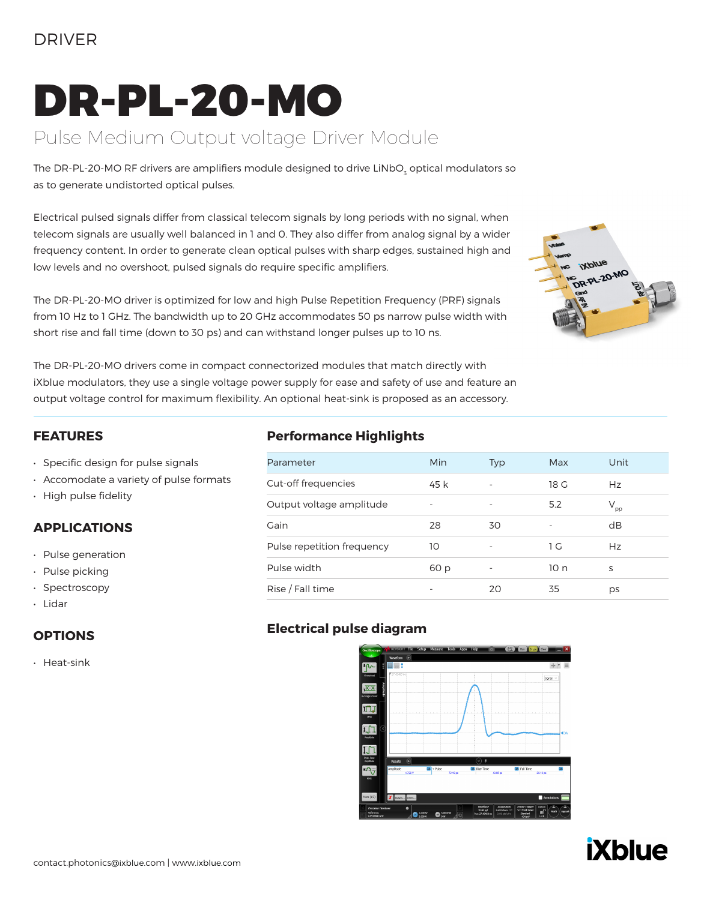### DRIVER

# DR-PL-20-MO

### Pulse Medium Output voltage Driver Module

The DR-PL-20-MO RF drivers are amplifiers module designed to drive LiNbO<sub>3</sub> optical modulators so as to generate undistorted optical pulses.

Electrical pulsed signals differ from classical telecom signals by long periods with no signal, when telecom signals are usually well balanced in 1 and 0. They also differ from analog signal by a wider frequency content. In order to generate clean optical pulses with sharp edges, sustained high and low levels and no overshoot, pulsed signals do require specific amplifiers.

The DR-PL-20-MO driver is optimized for low and high Pulse Repetition Frequency (PRF) signals from 10 Hz to 1 GHz. The bandwidth up to 20 GHz accommodates 50 ps narrow pulse width with short rise and fall time (down to 30 ps) and can withstand longer pulses up to 10 ns.



The DR-PL-20-MO drivers come in compact connectorized modules that match directly with iXblue modulators, they use a single voltage power supply for ease and safety of use and feature an output voltage control for maximum flexibility. An optional heat-sink is proposed as an accessory.

#### **FEATURES**

- Specific design for pulse signals
- Accomodate a variety of pulse formats
- High pulse fidelity

#### **APPLICATIONS**

- Pulse generation
- Pulse picking
- Spectroscopy
- Lidar

#### **OPTIONS**

• Heat-sink

### **Performance Highlights**

| Parameter                  | Min                      | <b>Typ</b>               | Max  | Unit            |  |
|----------------------------|--------------------------|--------------------------|------|-----------------|--|
| Cut-off frequencies        | 45 k                     | $\overline{\phantom{a}}$ | 18 G | Hz              |  |
| Output voltage amplitude   | $\overline{\phantom{m}}$ | $\overline{\phantom{a}}$ | 5.2  | $V_{\text{pp}}$ |  |
| Gain                       | 28                       | 30                       |      | dB              |  |
| Pulse repetition frequency | 10                       |                          | 1 G  | Hz              |  |
| Pulse width                | 60 p                     |                          | 10 n | S               |  |
| Rise / Fall time           |                          | 20                       | 35   | ps              |  |

### **Electrical pulse diagram**



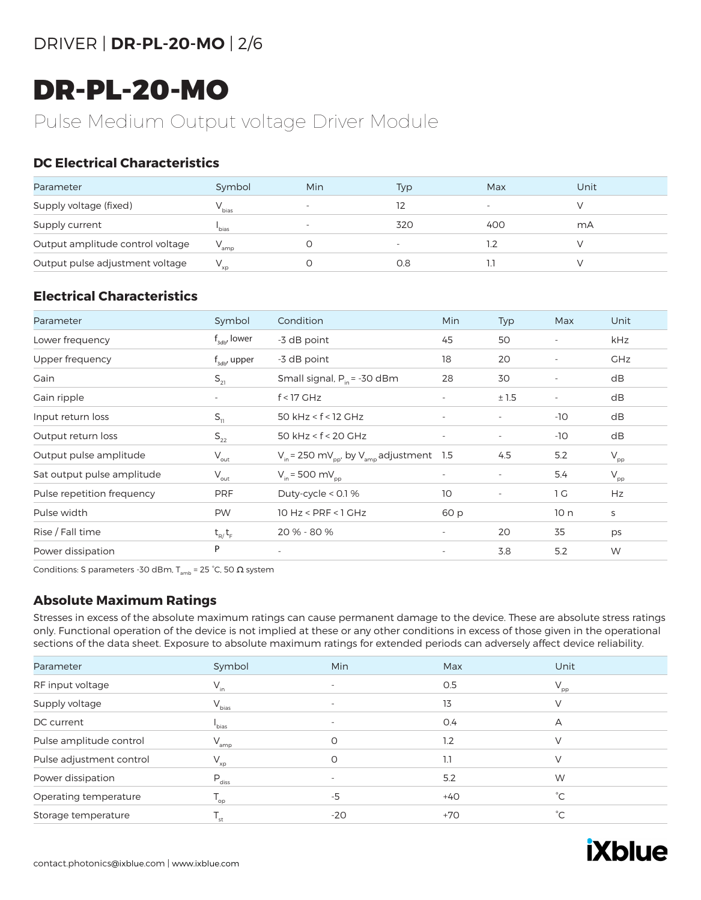# DR-PL-20-MO

### Pulse Medium Output voltage Driver Module

### **DC Electrical Characteristics**

| Parameter                        | Symbol            | Min                          | Typ | Max                      | Unit |
|----------------------------------|-------------------|------------------------------|-----|--------------------------|------|
| Supply voltage (fixed)           | ' bias            | $\qquad \qquad \blacksquare$ |     | $\overline{\phantom{0}}$ |      |
| Supply current                   | bias <sup>'</sup> | $\overline{\phantom{a}}$     | 320 | 400                      | mА   |
| Output amplitude control voltage | amp               |                              |     |                          |      |
| Output pulse adjustment voltage  | $V_{\rm xp}$      |                              | 0.8 |                          |      |

### **Electrical Characteristics**

| Parameter                  | Symbol                 | Condition                                                            | Min                      | <b>Typ</b>               | Max                      | Unit                       |
|----------------------------|------------------------|----------------------------------------------------------------------|--------------------------|--------------------------|--------------------------|----------------------------|
| Lower frequency            | $f_{\text{adv}}$ lower | -3 dB point                                                          | 45                       | 50                       |                          | kHz                        |
| Upper frequency            | $f_{\rm adv}$ upper    | -3 dB point                                                          | 18                       | 20                       |                          | <b>GHz</b>                 |
| Gain                       | $S_{21}$               | Small signal, $P_{in}$ = -30 dBm                                     | 28                       | 30                       | $\overline{\phantom{a}}$ | dB                         |
| Gain ripple                |                        | $f < 17$ GHz                                                         | $\overline{\phantom{a}}$ | ±1.5                     |                          | dB                         |
| Input return loss          | $S_{11}$               | 50 $kHz < f < 12$ GHz                                                | $\overline{\phantom{a}}$ |                          | $-10$                    | dB                         |
| Output return loss         | $S_{22}$               | 50 $kHz < f < 20$ GHz                                                | $\overline{\phantom{a}}$ | $\overline{\phantom{a}}$ | $-10$                    | dB                         |
| Output pulse amplitude     | $V_{\text{out}}$       | $V_{in}$ = 250 mV <sub>pp</sub> , by V <sub>amp</sub> adjustment 1.5 |                          | 4.5                      | 5.2                      | $\mathsf{V}_{\mathsf{pp}}$ |
| Sat output pulse amplitude | $V_{\text{out}}$       | $V_{in}$ = 500 mV <sub>pp</sub>                                      | $\overline{\phantom{a}}$ | $\overline{\phantom{a}}$ | 5.4                      | $\mathsf{V}_{\mathsf{pp}}$ |
| Pulse repetition frequency | <b>PRF</b>             | Duty-cycle < 0.1 %                                                   | 10                       | $\overline{\phantom{a}}$ | 1 G                      | Hz                         |
| Pulse width                | <b>PW</b>              | $10$ Hz < PRF < $1$ GHz                                              | 60 p                     |                          | 10n                      | S                          |
| Rise / Fall time           | $t_{R}/t_{F}$          | 20 % - 80 %                                                          | $\overline{\phantom{a}}$ | 20                       | 35                       | ps                         |
| Power dissipation          | P                      | $\overline{\phantom{a}}$                                             | $\overline{\phantom{a}}$ | 3.8                      | 5.2                      | W                          |

Conditions: S parameters -30 dBm,  $T_{amb}$  = 25 °C, 50  $\Omega$  system

#### **Absolute Maximum Ratings**

Stresses in excess of the absolute maximum ratings can cause permanent damage to the device. These are absolute stress ratings only. Functional operation of the device is not implied at these or any other conditions in excess of those given in the operational sections of the data sheet. Exposure to absolute maximum ratings for extended periods can adversely affect device reliability.

| Parameter                | Symbol                     | Min   | Max   | Unit            |
|--------------------------|----------------------------|-------|-------|-----------------|
| RF input voltage         | $V_{in}$                   |       | 0.5   | $V_{\text{pp}}$ |
| Supply voltage           | $V_{bias}$                 |       | 13    |                 |
| DC current               | <sup>l</sup> bias          |       | O.4   | A               |
| Pulse amplitude control  | $V_{amp}$                  | O     | 1.2   | V               |
| Pulse adjustment control | $V_{xp}$                   | Ο     | 1.1   | V               |
| Power dissipation        | $\mathsf{P}_{\rm diss}$    |       | 5.2   | W               |
| Operating temperature    | $\mathsf{T}_{\mathsf{op}}$ | $-5$  | $+40$ | $^{\circ}C$     |
| Storage temperature      | st                         | $-20$ | +70   | °С              |

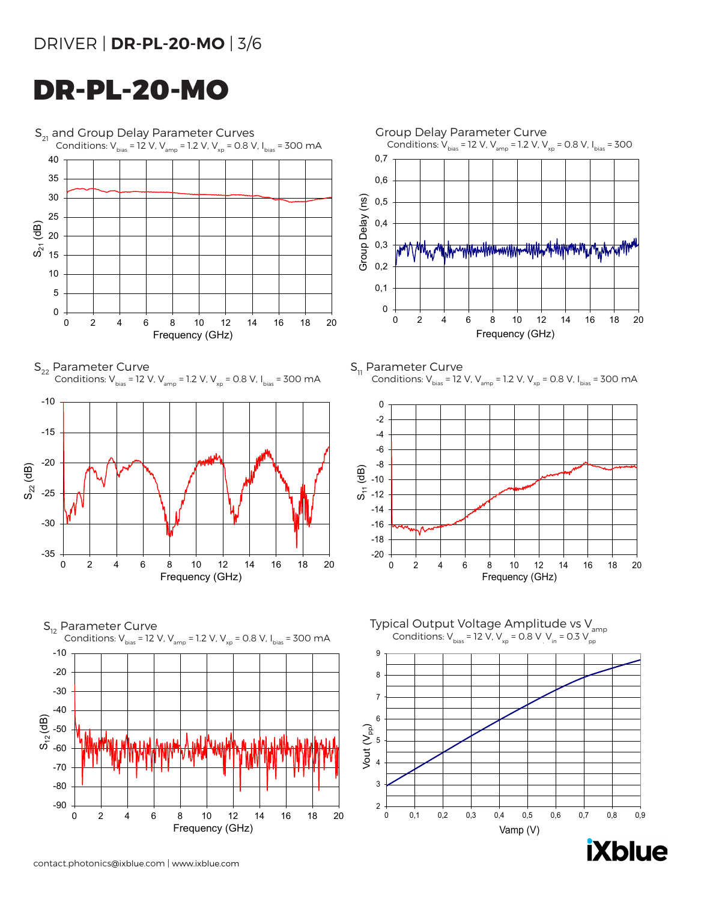### DRIVER | **DR-PL-20-MO** | 3/6

## DR-PL-20-MO



**iXblue** 

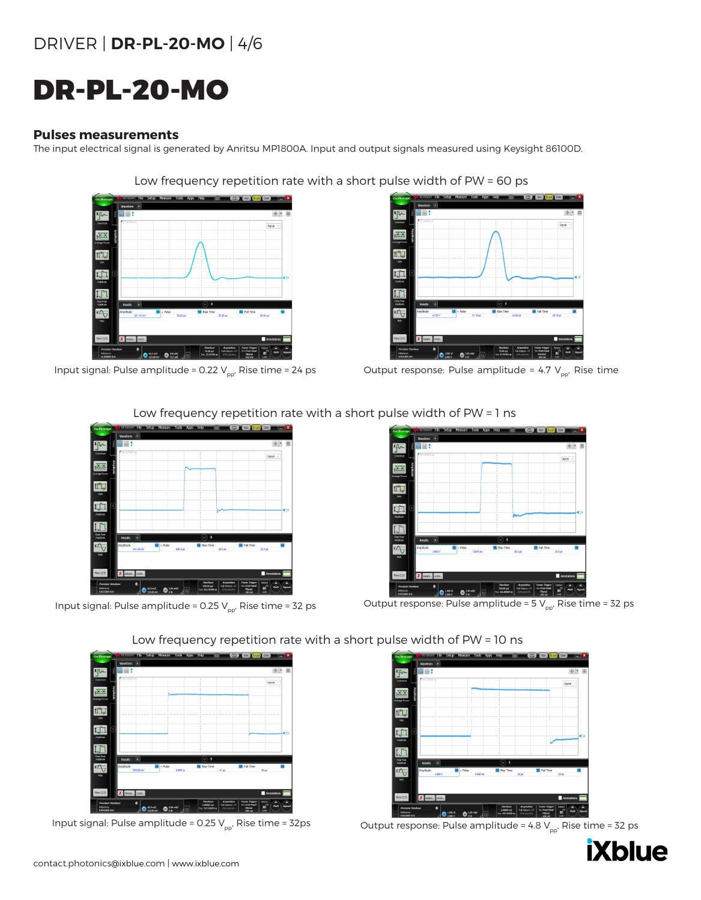### DRIVER | **DR-PL-20-MO** | 4/6

# DR-PL-20-MO

#### **Pulses measurements**

The input electrical signal is generated by Anritsu MP1800A. Input and output signals measured using Keysight 86100D.

### Low frequency repetition rate with a short pulse width of PW = 60 ps



Input signal: Pulse amplitude = 0.22 V<sub>pp</sub>, Rise time = 24 ps Output response: Pulse amplitude = 4.7 V<sub>pp</sub>, Rise time



#### Low frequency repetition rate with a short pulse width of PW = 1 ns

Low frequency repetition rate with a short pulse width of PW = 10 ns





Input signal: Pulse amplitude = 0.25 V<sub>pp</sub>, Rise time = 32 ps Output response: Pulse amplitude = 5 V<sub>pp</sub>, Rise time = 32 ps





Input signal: Pulse amplitude = 0.25 V<sub>pp</sub>, Rise time = 32ps Output response: Pulse amplitude = 4.8 V<sub>pp</sub>, Rise time = 32 ps

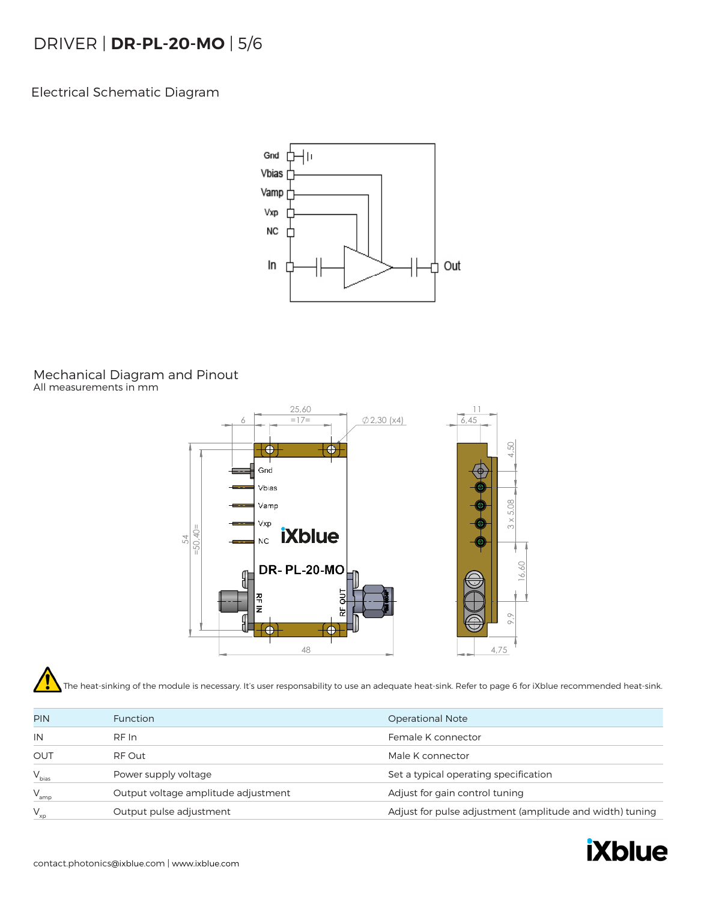### DRIVER | **DR-PL-20-MO** | 5/6

Electrical Schematic Diagram



#### Mechanical Diagram and Pinout All measurements in mm



The heat-sinking of the module is necessary. It's user responsability to use an adequate heat-sink. Refer to page 6 for iXblue recommended heat-sink.

| <b>PIN</b>      | <b>Function</b>                     | <b>Operational Note</b>                                  |
|-----------------|-------------------------------------|----------------------------------------------------------|
| IN              | RF In                               | Female K connector                                       |
| <b>OUT</b>      | RF Out                              | Male K connector                                         |
| $V_{bias}$      | Power supply voltage                | Set a typical operating specification                    |
| " amp           | Output voltage amplitude adjustment | Adjust for gain control tuning                           |
| $x_{\text{xp}}$ | Output pulse adjustment             | Adjust for pulse adjustment (amplitude and width) tuning |
|                 |                                     |                                                          |